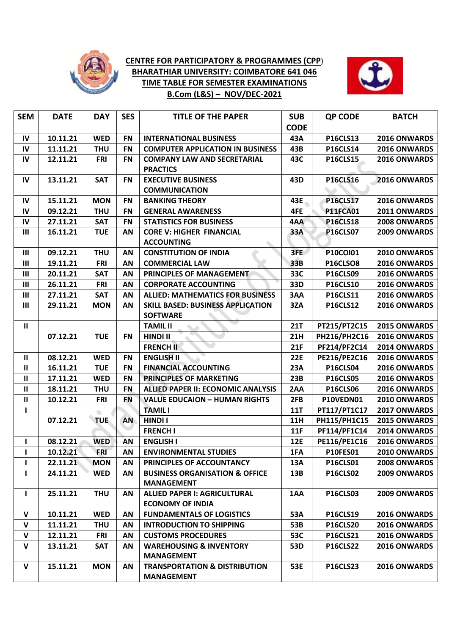

## **CENTRE FOR PARTICIPATORY & PROGRAMMES (CPP**) **BHARATHIAR UNIVERSITY: COIMBATORE 641 046 TIME TABLE FOR SEMESTER EXAMINATIONS B.Com (L&S) – NOV/DEC-2021**



| <b>SEM</b>     | <b>DATE</b> | <b>DAY</b> | <b>SES</b> | <b>TITLE OF THE PAPER</b>                 | <b>SUB</b>  | <b>QP CODE</b>      | <b>BATCH</b>        |
|----------------|-------------|------------|------------|-------------------------------------------|-------------|---------------------|---------------------|
|                |             |            |            |                                           | <b>CODE</b> |                     |                     |
| IV             | 10.11.21    | <b>WED</b> | <b>FN</b>  | <b>INTERNATIONAL BUSINESS</b>             | 43A         | <b>P16CLS13</b>     | 2016 ONWARDS        |
| IV             | 11.11.21    | <b>THU</b> | <b>FN</b>  | <b>COMPUTER APPLICATION IN BUSINESS</b>   | 43B         | <b>P16CLS14</b>     | 2016 ONWARDS        |
| IV             | 12.11.21    | <b>FRI</b> | <b>FN</b>  | <b>COMPANY LAW AND SECRETARIAL</b>        | 43C         | <b>P16CLS15</b>     | 2016 ONWARDS        |
|                |             |            |            | <b>PRACTICS</b>                           |             |                     |                     |
| $\mathsf{IV}$  | 13.11.21    | <b>SAT</b> | <b>FN</b>  | <b>EXECUTIVE BUSINESS</b>                 | 43D         | <b>P16CLS16</b>     | 2016 ONWARDS        |
|                |             |            |            | <b>COMMUNICATION</b>                      |             |                     |                     |
| IV             | 15.11.21    | <b>MON</b> | <b>FN</b>  | <b>BANKING THEORY</b>                     | 43E         | <b>P16CLS17</b>     | 2016 ONWARDS        |
| IV             | 09.12.21    | <b>THU</b> | <b>FN</b>  | <b>GENERAL AWARENESS</b>                  | 4FE         | <b>P11FCA01</b>     | 2011 ONWARDS        |
| $\mathsf{IV}$  | 27.11.21    | <b>SAT</b> | <b>FN</b>  | <b>STATISTICS FOR BUSINESS</b>            | 4AA         | <b>P16CLS18</b>     | 2008 ONWARDS        |
| Ш              | 16.11.21    | <b>TUE</b> | AN         | <b>CORE V: HIGHER FINANCIAL</b>           | 33A         | <b>P16CLS07</b>     | 2009 ONWARDS        |
|                |             |            |            | <b>ACCOUNTING</b>                         |             |                     |                     |
| $\mathbf{III}$ | 09.12.21    | <b>THU</b> | AN         | <b>CONSTITUTION OF INDIA</b>              | 3FE         | P10COI01            | 2010 ONWARDS        |
| Ш              | 19.11.21    | <b>FRI</b> | AN         | <b>COMMERCIAL LAW</b>                     | 33B         | <b>P16CLSO8</b>     | 2016 ONWARDS        |
| Ш              | 20.11.21    | <b>SAT</b> | AN         | PRINCIPLES OF MANAGEMENT                  | 33C         | <b>P16CLS09</b>     | 2016 ONWARDS        |
| Ш              | 26.11.21    | <b>FRI</b> | AN         | <b>CORPORATE ACCOUNTING</b>               | 33D         | <b>P16CLS10</b>     | 2016 ONWARDS        |
| Ш              | 27.11.21    | <b>SAT</b> | AN         | <b>ALLIED: MATHEMATICS FOR BUSINESS</b>   | 3AA         | <b>P16CLS11</b>     | 2016 ONWARDS        |
| $\mathbf{III}$ | 29.11.21    | <b>MON</b> | AN         | <b>SKILL BASED: BUSINESS APPLICATION</b>  | 3ZA         | <b>P16CLS12</b>     | 2016 ONWARDS        |
|                |             |            |            | <b>SOFTWARE</b>                           |             |                     |                     |
| $\mathbf{II}$  |             |            |            | <b>TAMIL II</b>                           | <b>21T</b>  | PT215/PT2C15        | 2015 ONWARDS        |
|                | 07.12.21    | <b>TUE</b> | <b>FN</b>  | <b>HINDI II</b>                           | 21H         | PH216/PH2C16        | 2016 ONWARDS        |
|                |             |            |            | <b>FRENCH II</b>                          | 21F         | PF214/PF2C14        | 2014 ONWARDS        |
| $\mathbf{H}$   | 08.12.21    | <b>WED</b> | <b>FN</b>  | <b>ENGLISH II</b>                         | <b>22E</b>  | PE216/PE2C16        | 2016 ONWARDS        |
| $\mathbf{II}$  | 16.11.21    | <b>TUE</b> | <b>FN</b>  | <b>FINANCIAL ACCOUNTING</b>               | <b>23A</b>  | <b>P16CLS04</b>     | 2016 ONWARDS        |
| $\mathbf{  }$  | 17.11.21    | <b>WED</b> | <b>FN</b>  | PRINCIPLES OF MARKETING                   | 23B         | <b>P16CLS05</b>     | 2016 ONWARDS        |
| $\mathbf{II}$  | 18.11.21    | <b>THU</b> | <b>FN</b>  | ALLIED PAPER II: ECONOMIC ANALYSIS        | 2AA         | <b>P16CLS06</b>     | 2016 ONWARDS        |
| $\mathbf{II}$  | 10.12.21    | <b>FRI</b> | <b>FN</b>  | <b>VALUE EDUCAION - HUMAN RIGHTS</b>      | 2FB         | P10VEDN01           | 2010 ONWARDS        |
| $\mathbf{I}$   |             | $\bullet$  |            | <b>TAMIL I</b>                            | <b>11T</b>  | PT117/PT1C17        | 2017 ONWARDS        |
|                | 07.12.21    | <b>TUE</b> | <b>AN</b>  | <b>HINDI I</b>                            | <b>11H</b>  | PH115/PH1C15        | 2015 ONWARDS        |
|                |             |            |            | <b>FRENCH I</b>                           | <b>11F</b>  | PF114/PF1C14        | 2014 ONWARDS        |
| L              | 08.12.21    | <b>WED</b> | AN         | <b>ENGLISH I</b>                          | <b>12E</b>  | <b>PE116/PE1C16</b> | 2016 ONWARDS        |
| $\mathbf{I}$   | 10.12.21    | <b>FRI</b> | AN         | <b>ENVIRONMENTAL STUDIES</b>              | 1FA         | <b>P10FES01</b>     | 2010 ONWARDS        |
| L              | 22.11.21    | <b>MON</b> | AN         | PRINCIPLES OF ACCOUNTANCY                 | 13A         | <b>P16CLS01</b>     | <b>2008 ONWARDS</b> |
| Ι.             | 24.11.21    | <b>WED</b> | AN         | <b>BUSINESS ORGANISATION &amp; OFFICE</b> | 13B         | <b>P16CLS02</b>     | <b>2009 ONWARDS</b> |
|                |             |            |            | <b>MANAGEMENT</b>                         |             |                     |                     |
| L              | 25.11.21    | <b>THU</b> | AN         | <b>ALLIED PAPER I: AGRICULTURAL</b>       | 1AA         | <b>P16CLS03</b>     | <b>2009 ONWARDS</b> |
|                |             |            |            | <b>ECONOMY OF INDIA</b>                   |             |                     |                     |
| V              | 10.11.21    | <b>WED</b> | <b>AN</b>  | <b>FUNDAMENTALS OF LOGISTICS</b>          | <b>53A</b>  | <b>P16CLS19</b>     | 2016 ONWARDS        |
| $\mathsf{V}$   | 11.11.21    | <b>THU</b> | AN         | <b>INTRODUCTION TO SHIPPING</b>           | 53B         | <b>P16CLS20</b>     | 2016 ONWARDS        |
| V              | 12.11.21    | FRI        | AN         | <b>CUSTOMS PROCEDURES</b>                 | 53C         | <b>P16CLS21</b>     | <b>2016 ONWARDS</b> |
| V              | 13.11.21    | SAT        | AN         | <b>WAREHOUSING &amp; INVENTORY</b>        | 53D         | <b>P16CLS22</b>     | 2016 ONWARDS        |
|                |             |            |            | <b>MANAGEMENT</b>                         |             |                     |                     |
| $\mathsf{V}$   | 15.11.21    | <b>MON</b> | AN         | <b>TRANSPORTATION &amp; DISTRIBUTION</b>  | <b>53E</b>  | <b>P16CLS23</b>     | <b>2016 ONWARDS</b> |
|                |             |            |            | <b>MANAGEMENT</b>                         |             |                     |                     |